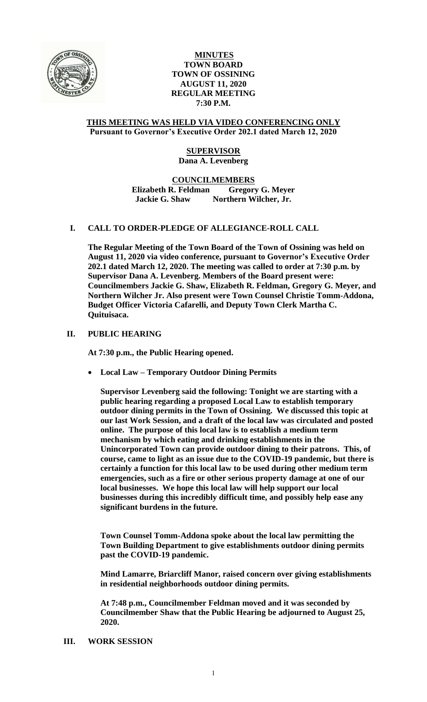

## **MINUTES TOWN BOARD TOWN OF OSSINING AUGUST 11, 2020 REGULAR MEETING 7:30 P.M.**

#### **THIS MEETING WAS HELD VIA VIDEO CONFERENCING ONLY Pursuant to Governor's Executive Order 202.1 dated March 12, 2020**

# **SUPERVISOR Dana A. Levenberg**

## **COUNCILMEMBERS Elizabeth R. Feldman Gregory G. Meyer Jackie G. Shaw Northern Wilcher, Jr.**

# **I. CALL TO ORDER-PLEDGE OF ALLEGIANCE-ROLL CALL**

**The Regular Meeting of the Town Board of the Town of Ossining was held on August 11, 2020 via video conference, pursuant to Governor's Executive Order 202.1 dated March 12, 2020. The meeting was called to order at 7:30 p.m. by Supervisor Dana A. Levenberg. Members of the Board present were: Councilmembers Jackie G. Shaw, Elizabeth R. Feldman, Gregory G. Meyer, and Northern Wilcher Jr. Also present were Town Counsel Christie Tomm-Addona, Budget Officer Victoria Cafarelli, and Deputy Town Clerk Martha C. Quituisaca.**

## **II. PUBLIC HEARING**

**At 7:30 p.m., the Public Hearing opened.**

**Local Law – Temporary Outdoor Dining Permits**

**Supervisor Levenberg said the following: Tonight we are starting with a public hearing regarding a proposed Local Law to establish temporary outdoor dining permits in the Town of Ossining. We discussed this topic at our last Work Session, and a draft of the local law was circulated and posted online. The purpose of this local law is to establish a medium term mechanism by which eating and drinking establishments in the Unincorporated Town can provide outdoor dining to their patrons. This, of course, came to light as an issue due to the COVID-19 pandemic, but there is certainly a function for this local law to be used during other medium term emergencies, such as a fire or other serious property damage at one of our local businesses. We hope this local law will help support our local businesses during this incredibly difficult time, and possibly help ease any significant burdens in the future.** 

**Town Counsel Tomm-Addona spoke about the local law permitting the Town Building Department to give establishments outdoor dining permits past the COVID-19 pandemic.** 

**Mind Lamarre, Briarcliff Manor, raised concern over giving establishments in residential neighborhoods outdoor dining permits.** 

**At 7:48 p.m., Councilmember Feldman moved and it was seconded by Councilmember Shaw that the Public Hearing be adjourned to August 25, 2020.** 

#### **III. WORK SESSION**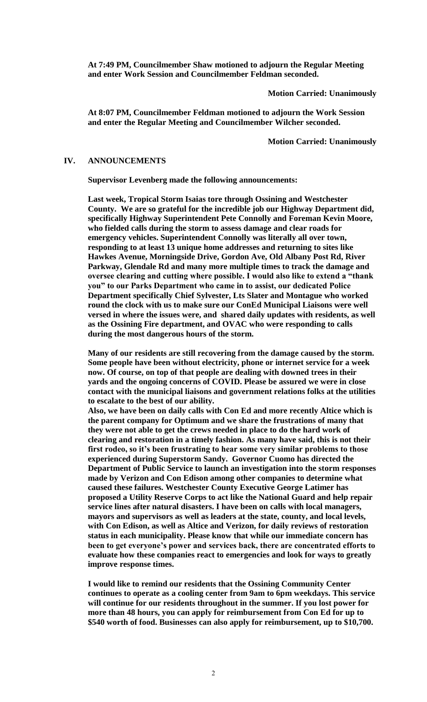**At 7:49 PM, Councilmember Shaw motioned to adjourn the Regular Meeting and enter Work Session and Councilmember Feldman seconded.**

**Motion Carried: Unanimously**

**At 8:07 PM, Councilmember Feldman motioned to adjourn the Work Session and enter the Regular Meeting and Councilmember Wilcher seconded.**

**Motion Carried: Unanimously**

#### **IV. ANNOUNCEMENTS**

**Supervisor Levenberg made the following announcements:** 

**Last week, Tropical Storm Isaias tore through Ossining and Westchester County. We are so grateful for the incredible job our Highway Department did, specifically Highway Superintendent Pete Connolly and Foreman Kevin Moore, who fielded calls during the storm to assess damage and clear roads for emergency vehicles. Superintendent Connolly was literally all over town, responding to at least 13 unique home addresses and returning to sites like Hawkes Avenue, Morningside Drive, Gordon Ave, Old Albany Post Rd, River Parkway, Glendale Rd and many more multiple times to track the damage and oversee clearing and cutting where possible. I would also like to extend a "thank you" to our Parks Department who came in to assist, our dedicated Police Department specifically Chief Sylvester, Lts Slater and Montague who worked round the clock with us to make sure our ConEd Municipal Liaisons were well versed in where the issues were, and shared daily updates with residents, as well as the Ossining Fire department, and OVAC who were responding to calls during the most dangerous hours of the storm.** 

**Many of our residents are still recovering from the damage caused by the storm. Some people have been without electricity, phone or internet service for a week now. Of course, on top of that people are dealing with downed trees in their yards and the ongoing concerns of COVID. Please be assured we were in close contact with the municipal liaisons and government relations folks at the utilities to escalate to the best of our ability.** 

**Also, we have been on daily calls with Con Ed and more recently Altice which is the parent company for Optimum and we share the frustrations of many that they were not able to get the crews needed in place to do the hard work of clearing and restoration in a timely fashion. As many have said, this is not their first rodeo, so it's been frustrating to hear some very similar problems to those experienced during Superstorm Sandy. Governor Cuomo has directed the Department of Public Service to launch an investigation into the storm responses made by Verizon and Con Edison among other companies to determine what caused these failures. Westchester County Executive George Latimer has proposed a Utility Reserve Corps to act like the National Guard and help repair service lines after natural disasters. I have been on calls with local managers, mayors and supervisors as well as leaders at the state, county, and local levels, with Con Edison, as well as Altice and Verizon, for daily reviews of restoration status in each municipality. Please know that while our immediate concern has been to get everyone's power and services back, there are concentrated efforts to evaluate how these companies react to emergencies and look for ways to greatly improve response times.** 

**I would like to remind our residents that the Ossining Community Center continues to operate as a cooling center from 9am to 6pm weekdays. This service will continue for our residents throughout in the summer. If you lost power for more than 48 hours, you can apply for reimbursement from Con Ed for up to \$540 worth of food. Businesses can also apply for reimbursement, up to \$10,700.**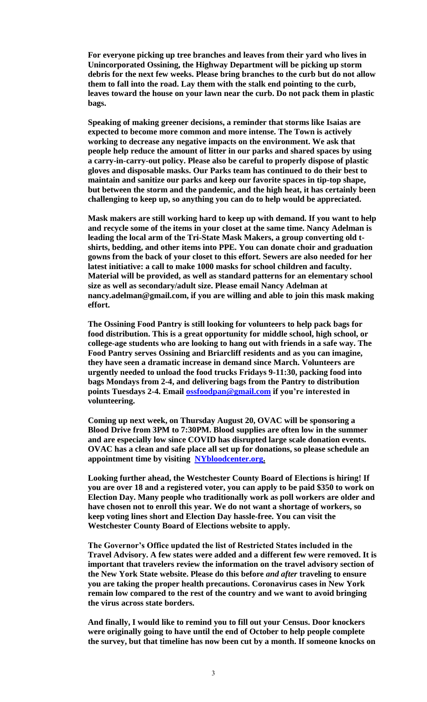**For everyone picking up tree branches and leaves from their yard who lives in Unincorporated Ossining, the Highway Department will be picking up storm debris for the next few weeks. Please bring branches to the curb but do not allow them to fall into the road. Lay them with the stalk end pointing to the curb, leaves toward the house on your lawn near the curb. Do not pack them in plastic bags.** 

**Speaking of making greener decisions, a reminder that storms like Isaias are expected to become more common and more intense. The Town is actively working to decrease any negative impacts on the environment. We ask that people help reduce the amount of litter in our parks and shared spaces by using a carry-in-carry-out policy. Please also be careful to properly dispose of plastic gloves and disposable masks. Our Parks team has continued to do their best to maintain and sanitize our parks and keep our favorite spaces in tip-top shape, but between the storm and the pandemic, and the high heat, it has certainly been challenging to keep up, so anything you can do to help would be appreciated.** 

**Mask makers are still working hard to keep up with demand. If you want to help and recycle some of the items in your closet at the same time. Nancy Adelman is leading the local arm of the Tri-State Mask Makers, a group converting old tshirts, bedding, and other items into PPE. You can donate choir and graduation gowns from the back of your closet to this effort. Sewers are also needed for her latest initiative: a call to make 1000 masks for school children and faculty. Material will be provided, as well as standard patterns for an elementary school size as well as secondary/adult size. Please email Nancy Adelman at nancy.adelman@gmail.com, if you are willing and able to join this mask making effort.**

**The Ossining Food Pantry is still looking for volunteers to help pack bags for food distribution. This is a great opportunity for middle school, high school, or college-age students who are looking to hang out with friends in a safe way. The Food Pantry serves Ossining and Briarcliff residents and as you can imagine, they have seen a dramatic increase in demand since March. Volunteers are urgently needed to unload the food trucks Fridays 9-11:30, packing food into bags Mondays from 2-4, and delivering bags from the Pantry to distribution points Tuesdays 2-4. Email [ossfoodpan@gmail.com](mailto:ossfoodpan@gmail.com) if you're interested in volunteering.**

**Coming up next week, on Thursday August 20, OVAC will be sponsoring a Blood Drive from 3PM to 7:30PM. Blood supplies are often low in the summer and are especially low since COVID has disrupted large scale donation events. OVAC has a clean and safe place all set up for donations, so please schedule an appointment time by visiting [NYbloodcenter.org.](https://l.facebook.com/l.php?u=http%3A%2F%2FNYbloodcenter.org%2F%3Ffbclid%3DIwAR0iCFTQuExqxSfbUvmgH0pWVdmvWwPHKjG85z7GrnRCBpJmdNw2Y-ltLDk&h=AT1sBl1zU5cj8LCsDgMFvaDgxD-lggZjsVlJCD3zxL_Ktv9PmOMVg2CjXGygFurzZ_6megE2xC-Xqf9VXcSYSICgUgvryxQnj6Nk0yNDiWxLlaewizwKt3VGJniYO0ff0KH7)** 

**Looking further ahead, the Westchester County Board of Elections is hiring! If you are over 18 and a registered voter, you can apply to be paid \$350 to work on Election Day. Many people who traditionally work as poll workers are older and have chosen not to enroll this year. We do not want a shortage of workers, so keep voting lines short and Election Day hassle-free. You can visit the Westchester County Board of Elections website to apply.** 

**The Governor's Office updated the list of Restricted States included in the Travel Advisory. A few states were added and a different few were removed. It is important that travelers review the information on the travel advisory section of the New York State website. Please do this before** *and after* **traveling to ensure you are taking the proper health precautions. Coronavirus cases in New York remain low compared to the rest of the country and we want to avoid bringing the virus across state borders.** 

**And finally, I would like to remind you to fill out your Census. Door knockers were originally going to have until the end of October to help people complete the survey, but that timeline has now been cut by a month. If someone knocks on**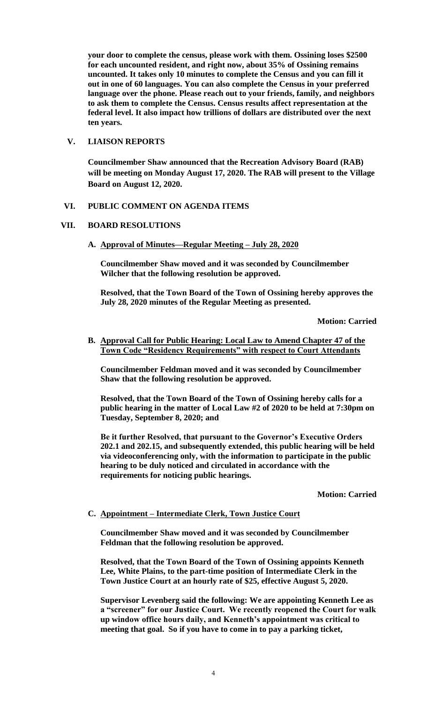**your door to complete the census, please work with them. Ossining loses \$2500 for each uncounted resident, and right now, about 35% of Ossining remains uncounted. It takes only 10 minutes to complete the Census and you can fill it out in one of 60 languages. You can also complete the Census in your preferred language over the phone. Please reach out to your friends, family, and neighbors to ask them to complete the Census. Census results affect representation at the federal level. It also impact how trillions of dollars are distributed over the next ten years.** 

## **V. LIAISON REPORTS**

**Councilmember Shaw announced that the Recreation Advisory Board (RAB) will be meeting on Monday August 17, 2020. The RAB will present to the Village Board on August 12, 2020.**

## **VI. PUBLIC COMMENT ON AGENDA ITEMS**

## **VII. BOARD RESOLUTIONS**

**A. Approval of Minutes—Regular Meeting – July 28, 2020**

**Councilmember Shaw moved and it was seconded by Councilmember Wilcher that the following resolution be approved.**

**Resolved, that the Town Board of the Town of Ossining hereby approves the July 28, 2020 minutes of the Regular Meeting as presented.**

**Motion: Carried**

### **B. Approval Call for Public Hearing: Local Law to Amend Chapter 47 of the Town Code "Residency Requirements" with respect to Court Attendants**

**Councilmember Feldman moved and it was seconded by Councilmember Shaw that the following resolution be approved.**

**Resolved, that the Town Board of the Town of Ossining hereby calls for a public hearing in the matter of Local Law #2 of 2020 to be held at 7:30pm on Tuesday, September 8, 2020; and** 

**Be it further Resolved, that pursuant to the Governor's Executive Orders 202.1 and 202.15, and subsequently extended, this public hearing will be held via videoconferencing only, with the information to participate in the public hearing to be duly noticed and circulated in accordance with the requirements for noticing public hearings.** 

**Motion: Carried**

#### **C. Appointment – Intermediate Clerk, Town Justice Court**

**Councilmember Shaw moved and it was seconded by Councilmember Feldman that the following resolution be approved.**

**Resolved, that the Town Board of the Town of Ossining appoints Kenneth Lee, White Plains, to the part-time position of Intermediate Clerk in the Town Justice Court at an hourly rate of \$25, effective August 5, 2020.** 

**Supervisor Levenberg said the following: We are appointing Kenneth Lee as a "screener" for our Justice Court. We recently reopened the Court for walk up window office hours daily, and Kenneth's appointment was critical to meeting that goal. So if you have to come in to pay a parking ticket,**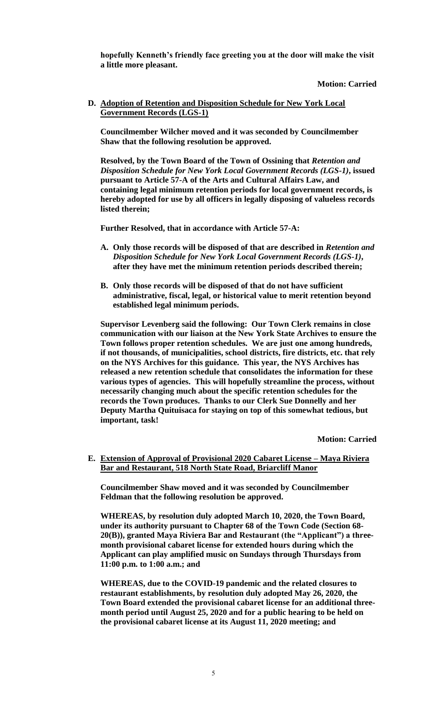**hopefully Kenneth's friendly face greeting you at the door will make the visit a little more pleasant.** 

**Motion: Carried**

## **D. Adoption of Retention and Disposition Schedule for New York Local Government Records (LGS-1)**

**Councilmember Wilcher moved and it was seconded by Councilmember Shaw that the following resolution be approved.**

**Resolved, by the Town Board of the Town of Ossining that** *Retention and Disposition Schedule for New York Local Government Records (LGS-1)***, issued pursuant to Article 57-A of the Arts and Cultural Affairs Law, and containing legal minimum retention periods for local government records, is hereby adopted for use by all officers in legally disposing of valueless records listed therein;** 

**Further Resolved, that in accordance with Article 57-A:**

- **A. Only those records will be disposed of that are described in** *Retention and Disposition Schedule for New York Local Government Records (LGS-1)***, after they have met the minimum retention periods described therein;**
- **B. Only those records will be disposed of that do not have sufficient administrative, fiscal, legal, or historical value to merit retention beyond established legal minimum periods.**

**Supervisor Levenberg said the following: Our Town Clerk remains in close communication with our liaison at the New York State Archives to ensure the Town follows proper retention schedules. We are just one among hundreds, if not thousands, of municipalities, school districts, fire districts, etc. that rely on the NYS Archives for this guidance. This year, the NYS Archives has released a new retention schedule that consolidates the information for these various types of agencies. This will hopefully streamline the process, without necessarily changing much about the specific retention schedules for the records the Town produces. Thanks to our Clerk Sue Donnelly and her Deputy Martha Quituisaca for staying on top of this somewhat tedious, but important, task!**

**Motion: Carried**

**E. Extension of Approval of Provisional 2020 Cabaret License – Maya Riviera Bar and Restaurant, 518 North State Road, Briarcliff Manor**

**Councilmember Shaw moved and it was seconded by Councilmember Feldman that the following resolution be approved.**

**WHEREAS, by resolution duly adopted March 10, 2020, the Town Board, under its authority pursuant to Chapter 68 of the Town Code (Section 68- 20(B)), granted Maya Riviera Bar and Restaurant (the "Applicant") a threemonth provisional cabaret license for extended hours during which the Applicant can play amplified music on Sundays through Thursdays from 11:00 p.m. to 1:00 a.m.; and**

**WHEREAS, due to the COVID-19 pandemic and the related closures to restaurant establishments, by resolution duly adopted May 26, 2020, the Town Board extended the provisional cabaret license for an additional threemonth period until August 25, 2020 and for a public hearing to be held on the provisional cabaret license at its August 11, 2020 meeting; and**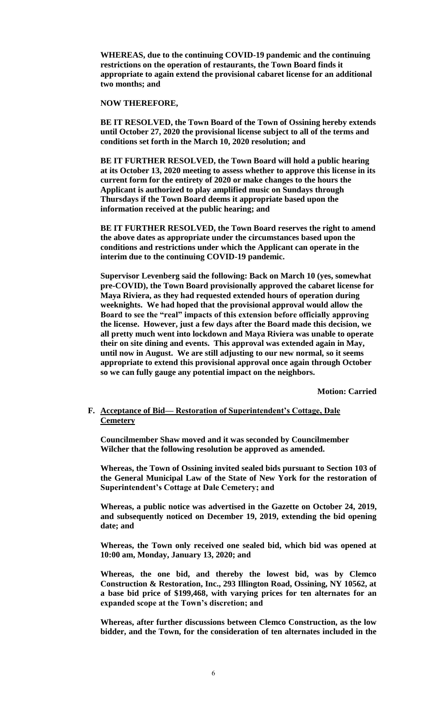**WHEREAS, due to the continuing COVID-19 pandemic and the continuing restrictions on the operation of restaurants, the Town Board finds it appropriate to again extend the provisional cabaret license for an additional two months; and**

**NOW THEREFORE,**

**BE IT RESOLVED, the Town Board of the Town of Ossining hereby extends until October 27, 2020 the provisional license subject to all of the terms and conditions set forth in the March 10, 2020 resolution; and**

**BE IT FURTHER RESOLVED, the Town Board will hold a public hearing at its October 13, 2020 meeting to assess whether to approve this license in its current form for the entirety of 2020 or make changes to the hours the Applicant is authorized to play amplified music on Sundays through Thursdays if the Town Board deems it appropriate based upon the information received at the public hearing; and**

**BE IT FURTHER RESOLVED, the Town Board reserves the right to amend the above dates as appropriate under the circumstances based upon the conditions and restrictions under which the Applicant can operate in the interim due to the continuing COVID-19 pandemic.**

**Supervisor Levenberg said the following: Back on March 10 (yes, somewhat pre-COVID), the Town Board provisionally approved the cabaret license for Maya Riviera, as they had requested extended hours of operation during weeknights. We had hoped that the provisional approval would allow the Board to see the "real" impacts of this extension before officially approving the license. However, just a few days after the Board made this decision, we all pretty much went into lockdown and Maya Riviera was unable to operate their on site dining and events. This approval was extended again in May, until now in August. We are still adjusting to our new normal, so it seems appropriate to extend this provisional approval once again through October so we can fully gauge any potential impact on the neighbors.** 

**Motion: Carried**

### **F. Acceptance of Bid— Restoration of Superintendent's Cottage, Dale Cemetery**

**Councilmember Shaw moved and it was seconded by Councilmember Wilcher that the following resolution be approved as amended.**

**Whereas, the Town of Ossining invited sealed bids pursuant to Section 103 of the General Municipal Law of the State of New York for the restoration of Superintendent's Cottage at Dale Cemetery; and**

**Whereas, a public notice was advertised in the Gazette on October 24, 2019, and subsequently noticed on December 19, 2019, extending the bid opening date; and** 

**Whereas, the Town only received one sealed bid, which bid was opened at 10:00 am, Monday, January 13, 2020; and**

**Whereas, the one bid, and thereby the lowest bid, was by Clemco Construction & Restoration, Inc., 293 Illington Road, Ossining, NY 10562, at a base bid price of \$199,468, with varying prices for ten alternates for an expanded scope at the Town's discretion; and**

**Whereas, after further discussions between Clemco Construction, as the low bidder, and the Town, for the consideration of ten alternates included in the**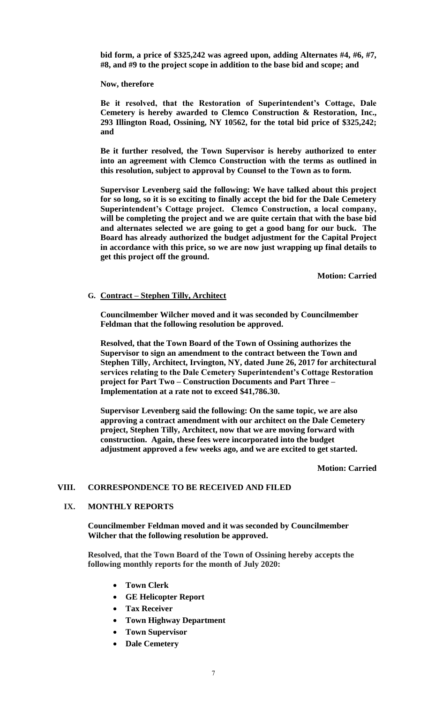**bid form, a price of \$325,242 was agreed upon, adding Alternates #4, #6, #7, #8, and #9 to the project scope in addition to the base bid and scope; and** 

**Now, therefore**

**Be it resolved, that the Restoration of Superintendent's Cottage, Dale Cemetery is hereby awarded to Clemco Construction & Restoration, Inc., 293 Illington Road, Ossining, NY 10562, for the total bid price of \$325,242; and** 

**Be it further resolved, the Town Supervisor is hereby authorized to enter into an agreement with Clemco Construction with the terms as outlined in this resolution, subject to approval by Counsel to the Town as to form.**

**Supervisor Levenberg said the following: We have talked about this project for so long, so it is so exciting to finally accept the bid for the Dale Cemetery Superintendent's Cottage project. Clemco Construction, a local company, will be completing the project and we are quite certain that with the base bid and alternates selected we are going to get a good bang for our buck. The Board has already authorized the budget adjustment for the Capital Project in accordance with this price, so we are now just wrapping up final details to get this project off the ground.**

**Motion: Carried**

**G. Contract – Stephen Tilly, Architect**

**Councilmember Wilcher moved and it was seconded by Councilmember Feldman that the following resolution be approved.**

**Resolved, that the Town Board of the Town of Ossining authorizes the Supervisor to sign an amendment to the contract between the Town and Stephen Tilly, Architect, Irvington, NY, dated June 26, 2017 for architectural services relating to the Dale Cemetery Superintendent's Cottage Restoration project for Part Two – Construction Documents and Part Three – Implementation at a rate not to exceed \$41,786.30.** 

**Supervisor Levenberg said the following: On the same topic, we are also approving a contract amendment with our architect on the Dale Cemetery project, Stephen Tilly, Architect, now that we are moving forward with construction. Again, these fees were incorporated into the budget adjustment approved a few weeks ago, and we are excited to get started.**

**Motion: Carried**

## **VIII. CORRESPONDENCE TO BE RECEIVED AND FILED**

### **IX. MONTHLY REPORTS**

**Councilmember Feldman moved and it was seconded by Councilmember Wilcher that the following resolution be approved.**

**Resolved, that the Town Board of the Town of Ossining hereby accepts the following monthly reports for the month of July 2020:**

- **Town Clerk**
- **GE Helicopter Report**
- **Tax Receiver**
- **Town Highway Department**
- **Town Supervisor**
- **Dale Cemetery**